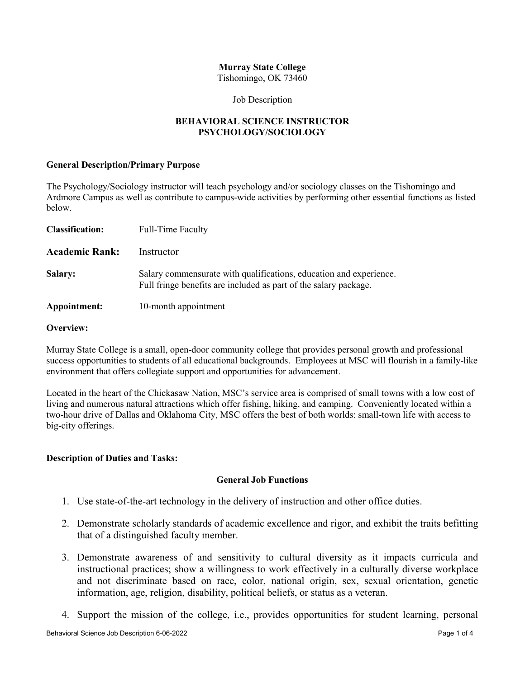# **Murray State College**

Tishomingo, OK 73460

#### Job Description

# **BEHAVIORAL SCIENCE INSTRUCTOR PSYCHOLOGY/SOCIOLOGY**

#### **General Description/Primary Purpose**

The Psychology/Sociology instructor will teach psychology and/or sociology classes on the Tishomingo and Ardmore Campus as well as contribute to campus-wide activities by performing other essential functions as listed below.

| <b>Classification:</b> | <b>Full-Time Faculty</b>                                                                                                               |
|------------------------|----------------------------------------------------------------------------------------------------------------------------------------|
| <b>Academic Rank:</b>  | Instructor                                                                                                                             |
| <b>Salary:</b>         | Salary commensurate with qualifications, education and experience.<br>Full fringe benefits are included as part of the salary package. |
| Appointment:           | 10-month appointment                                                                                                                   |

#### **Overview:**

Murray State College is a small, open-door community college that provides personal growth and professional success opportunities to students of all educational backgrounds. Employees at MSC will flourish in a family-like environment that offers collegiate support and opportunities for advancement.

Located in the heart of the Chickasaw Nation, MSC's service area is comprised of small towns with a low cost of living and numerous natural attractions which offer fishing, hiking, and camping. Conveniently located within a two-hour drive of Dallas and Oklahoma City, MSC offers the best of both worlds: small-town life with access to big-city offerings.

### **Description of Duties and Tasks:**

### **General Job Functions**

- 1. Use state-of-the-art technology in the delivery of instruction and other office duties.
- 2. Demonstrate scholarly standards of academic excellence and rigor, and exhibit the traits befitting that of a distinguished faculty member.
- 3. Demonstrate awareness of and sensitivity to cultural diversity as it impacts curricula and instructional practices; show a willingness to work effectively in a culturally diverse workplace and not discriminate based on race, color, national origin, sex, sexual orientation, genetic information, age, religion, disability, political beliefs, or status as a veteran.
- 4. Support the mission of the college, i.e., provides opportunities for student learning, personal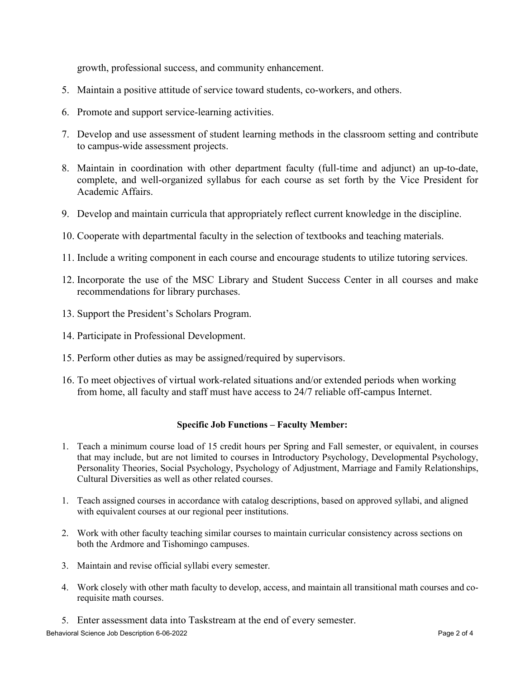growth, professional success, and community enhancement.

- 5. Maintain a positive attitude of service toward students, co-workers, and others.
- 6. Promote and support service-learning activities.
- 7. Develop and use assessment of student learning methods in the classroom setting and contribute to campus-wide assessment projects.
- 8. Maintain in coordination with other department faculty (full-time and adjunct) an up-to-date, complete, and well-organized syllabus for each course as set forth by the Vice President for Academic Affairs.
- 9. Develop and maintain curricula that appropriately reflect current knowledge in the discipline.
- 10. Cooperate with departmental faculty in the selection of textbooks and teaching materials.
- 11. Include a writing component in each course and encourage students to utilize tutoring services.
- 12. Incorporate the use of the MSC Library and Student Success Center in all courses and make recommendations for library purchases.
- 13. Support the President's Scholars Program.
- 14. Participate in Professional Development.
- 15. Perform other duties as may be assigned/required by supervisors.
- 16. To meet objectives of virtual work-related situations and/or extended periods when working from home, all faculty and staff must have access to 24/7 reliable off-campus Internet.

#### **Specific Job Functions – Faculty Member:**

- 1. Teach a minimum course load of 15 credit hours per Spring and Fall semester, or equivalent, in courses that may include, but are not limited to courses in Introductory Psychology, Developmental Psychology, Personality Theories, Social Psychology, Psychology of Adjustment, Marriage and Family Relationships, Cultural Diversities as well as other related courses.
- 1. Teach assigned courses in accordance with catalog descriptions, based on approved syllabi, and aligned with equivalent courses at our regional peer institutions.
- 2. Work with other faculty teaching similar courses to maintain curricular consistency across sections on both the Ardmore and Tishomingo campuses.
- 3. Maintain and revise official syllabi every semester.
- 4. Work closely with other math faculty to develop, access, and maintain all transitional math courses and corequisite math courses.
- 5. Enter assessment data into Taskstream at the end of every semester.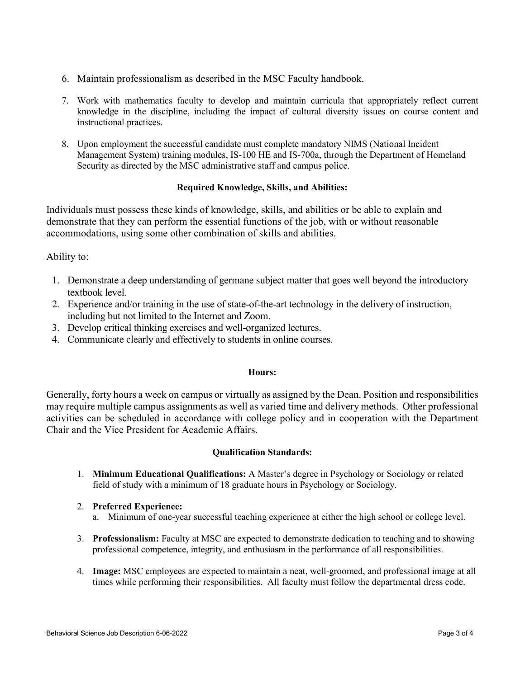- 6. Maintain professionalism as described in the MSC Faculty handbook.
- 7. Work with mathematics faculty to develop and maintain curricula that appropriately reflect current knowledge in the discipline, including the impact of cultural diversity issues on course content and instructional practices.
- 8. Upon employment the successful candidate must complete mandatory NIMS (National Incident Management System) training modules, IS-100 HE and IS-700a, through the Department of Homeland Security as directed by the MSC administrative staff and campus police.

### **Required Knowledge, Skills, and Abilities:**

Individuals must possess these kinds of knowledge, skills, and abilities or be able to explain and demonstrate that they can perform the essential functions of the job, with or without reasonable accommodations, using some other combination of skills and abilities.

# Ability to:

- 1. Demonstrate a deep understanding of germane subject matter that goes well beyond the introductory textbook level.
- 2. Experience and/or training in the use of state-of-the-art technology in the delivery of instruction, including but not limited to the Internet and Zoom.
- 3. Develop critical thinking exercises and well-organized lectures.
- 4. Communicate clearly and effectively to students in online courses.

#### **Hours:**

Generally, forty hours a week on campus or virtually as assigned by the Dean. Position and responsibilities may require multiple campus assignments as well as varied time and delivery methods. Other professional activities can be scheduled in accordance with college policy and in cooperation with the Department Chair and the Vice President for Academic Affairs.

### **Qualification Standards:**

1. **Minimum Educational Qualifications:** A Master's degree in Psychology or Sociology or related field of study with a minimum of 18 graduate hours in Psychology or Sociology.

### 2. **Preferred Experience:**

- a. Minimum of one-year successful teaching experience at either the high school or college level.
- 3. **Professionalism:** Faculty at MSC are expected to demonstrate dedication to teaching and to showing professional competence, integrity, and enthusiasm in the performance of all responsibilities.
- 4. **Image:** MSC employees are expected to maintain a neat, well-groomed, and professional image at all times while performing their responsibilities. All faculty must follow the departmental dress code.